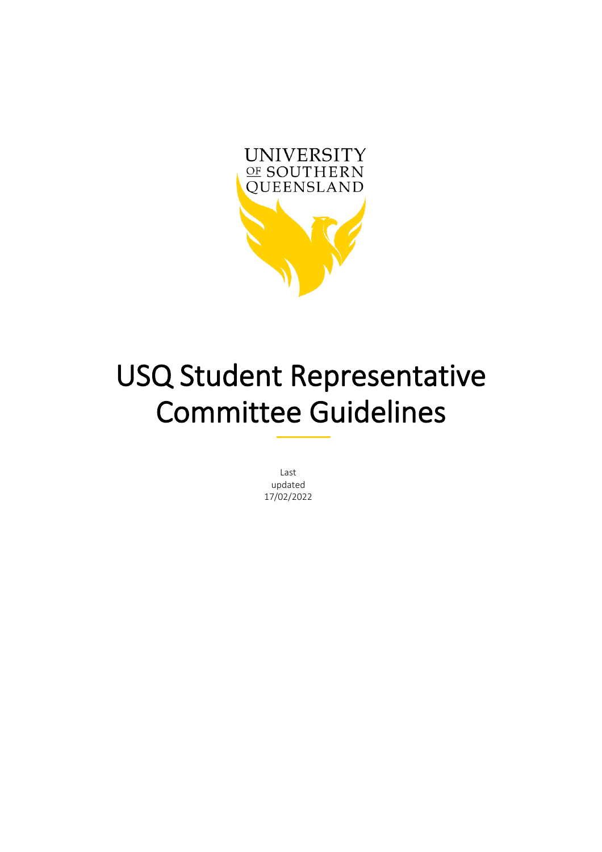

# USQ Student Representative Committee Guidelines  $-$

Last updated 17/02/2022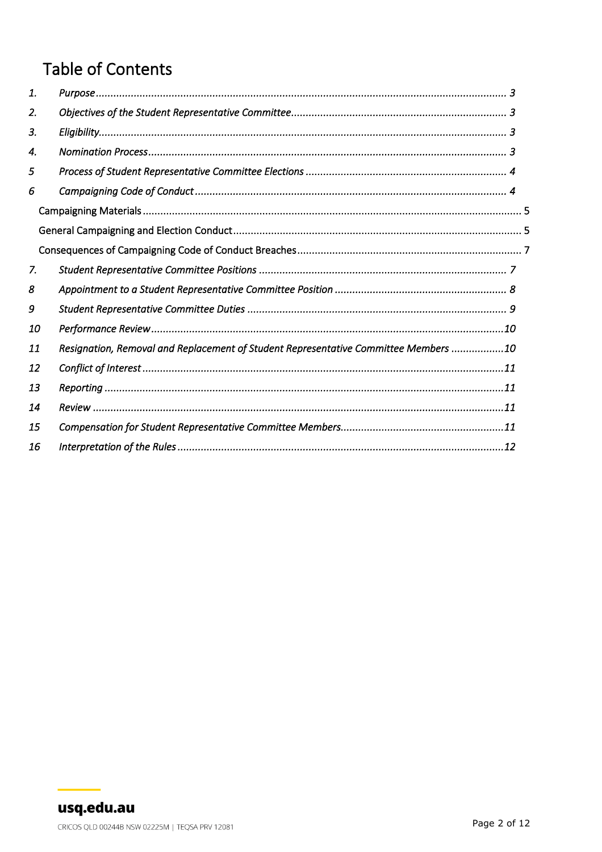# **Table of Contents**

| 1. |                                                                                     |
|----|-------------------------------------------------------------------------------------|
| 2. |                                                                                     |
| 3. |                                                                                     |
| 4. |                                                                                     |
| 5  |                                                                                     |
| 6  |                                                                                     |
|    |                                                                                     |
|    |                                                                                     |
|    |                                                                                     |
| 7. |                                                                                     |
| 8  |                                                                                     |
| 9  |                                                                                     |
| 10 |                                                                                     |
| 11 | Resignation, Removal and Replacement of Student Representative Committee Members 10 |
| 12 |                                                                                     |
| 13 |                                                                                     |
| 14 |                                                                                     |
| 15 |                                                                                     |
| 16 |                                                                                     |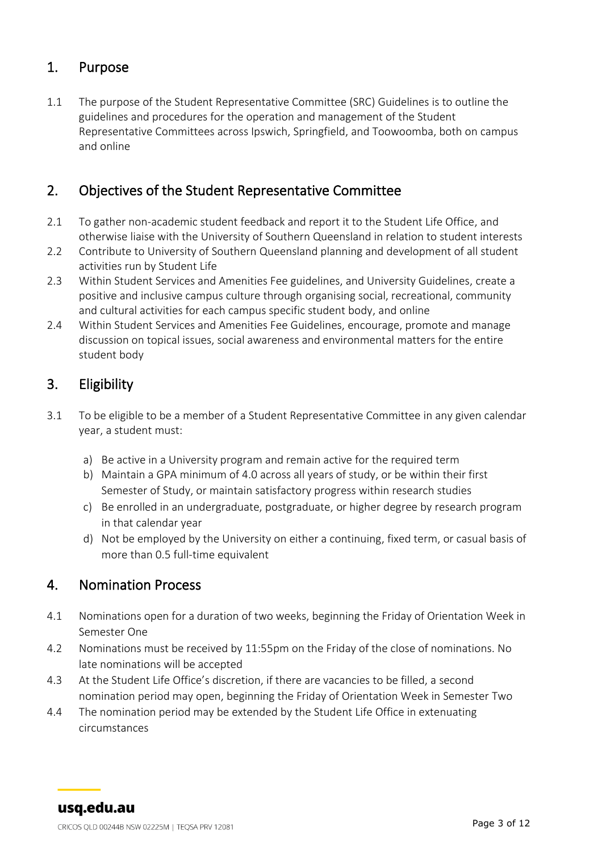#### <span id="page-2-0"></span>1. Purpose

1.1 The purpose of the Student Representative Committee (SRC) Guidelines is to outline the guidelines and procedures for the operation and management of the Student Representative Committees across Ipswich, Springfield, and Toowoomba, both on campus and online

#### <span id="page-2-1"></span>2. Objectives of the Student Representative Committee

- 2.1 To gather non-academic student feedback and report it to the Student Life Office, and otherwise liaise with the University of Southern Queensland in relation to student interests
- 2.2 Contribute to University of Southern Queensland planning and development of all student activities run by Student Life
- 2.3 Within Student Services and Amenities Fee guidelines, and University Guidelines, create a positive and inclusive campus culture through organising social, recreational, community and cultural activities for each campus specific student body, and online
- 2.4 Within Student Services and Amenities Fee Guidelines, encourage, promote and manage discussion on topical issues, social awareness and environmental matters for the entire student body

#### <span id="page-2-2"></span>3. Eligibility

- 3.1 To be eligible to be a member of a Student Representative Committee in any given calendar year, a student must:
	- a) Be active in a University program and remain active for the required term
	- b) Maintain a GPA minimum of 4.0 across all years of study, or be within their first Semester of Study, or maintain satisfactory progress within research studies
	- c) Be enrolled in an undergraduate, postgraduate, or higher degree by research program in that calendar year
	- d) Not be employed by the University on either a continuing, fixed term, or casual basis of more than 0.5 full-time equivalent

#### <span id="page-2-3"></span>4. Nomination Process

- 4.1 Nominations open for a duration of two weeks, beginning the Friday of Orientation Week in Semester One
- 4.2 Nominations must be received by 11:55pm on the Friday of the close of nominations. No late nominations will be accepted
- 4.3 At the Student Life Office's discretion, if there are vacancies to be filled, a second nomination period may open, beginning the Friday of Orientation Week in Semester Two
- 4.4 The nomination period may be extended by the Student Life Office in extenuating circumstances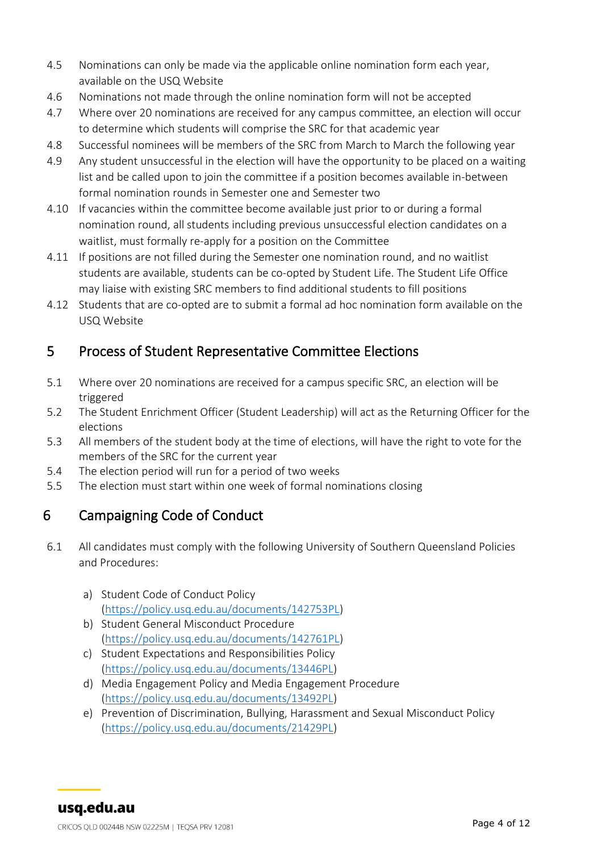- 4.5 Nominations can only be made via the applicable online nomination form each year, available on the USQ Website
- 4.6 Nominations not made through the online nomination form will not be accepted
- 4.7 Where over 20 nominations are received for any campus committee, an election will occur to determine which students will comprise the SRC for that academic year
- 4.8 Successful nominees will be members of the SRC from March to March the following year
- 4.9 Any student unsuccessful in the election will have the opportunity to be placed on a waiting list and be called upon to join the committee if a position becomes available in-between formal nomination rounds in Semester one and Semester two
- 4.10 If vacancies within the committee become available just prior to or during a formal nomination round, all students including previous unsuccessful election candidates on a waitlist, must formally re-apply for a position on the Committee
- 4.11 If positions are not filled during the Semester one nomination round, and no waitlist students are available, students can be co-opted by Student Life. The Student Life Office may liaise with existing SRC members to find additional students to fill positions
- 4.12 Students that are co-opted are to submit a formal ad hoc nomination form available on the USQ Website

#### <span id="page-3-0"></span>5 Process of Student Representative Committee Elections

- 5.1 Where over 20 nominations are received for a campus specific SRC, an election will be triggered
- 5.2 The Student Enrichment Officer (Student Leadership) will act as the Returning Officer for the elections
- 5.3 All members of the student body at the time of elections, will have the right to vote for the members of the SRC for the current year
- 5.4 The election period will run for a period of two weeks
- 5.5 The election must start within one week of formal nominations closing

## <span id="page-3-1"></span>6 Campaigning Code of Conduct

- 6.1 All candidates must comply with the following University of Southern Queensland Policies and Procedures:
	- a) Student Code of Conduct Policy [\(https://policy.usq.edu.au/documents/142753PL\)](https://policy.usq.edu.au/documents/142753PL)
	- b) Student General Misconduct Procedure [\(https://policy.usq.edu.au/documents/142761PL\)](https://policy.usq.edu.au/documents/142761PL)
	- c) Student Expectations and Responsibilities Policy [\(https://policy.usq.edu.au/documents/13446PL\)](https://policy.usq.edu.au/documents/13446PL)
	- d) Media Engagement Policy and Media Engagement Procedure [\(https://policy.usq.edu.au/documents/13492PL\)](https://policy.usq.edu.au/documents/13492PL)
	- e) Prevention of Discrimination, Bullying, Harassment and Sexual Misconduct Policy [\(https://policy.usq.edu.au/documents/21429PL\)](https://policy.usq.edu.au/documents/21429PL)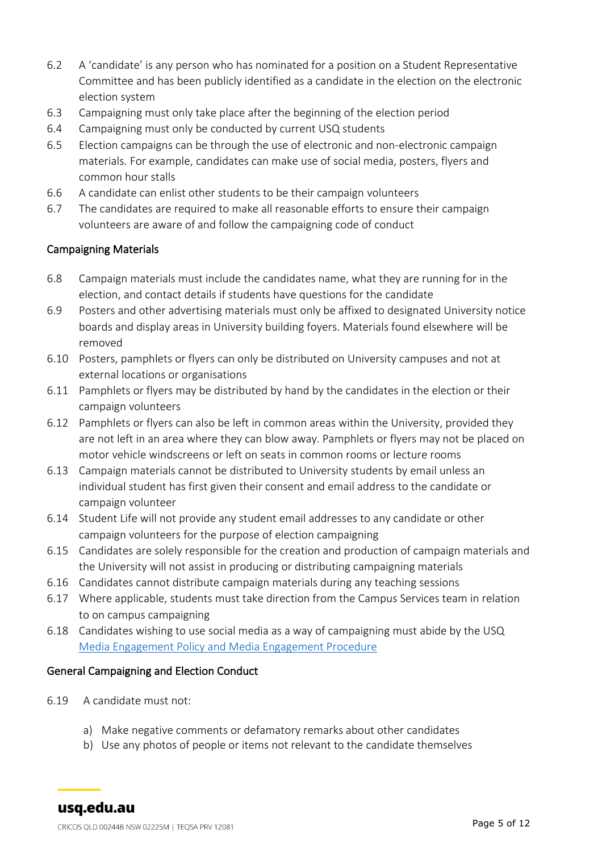- 6.2 A 'candidate' is any person who has nominated for a position on a Student Representative Committee and has been publicly identified as a candidate in the election on the electronic election system
- 6.3 Campaigning must only take place after the beginning of the election period
- 6.4 Campaigning must only be conducted by current USQ students
- 6.5 Election campaigns can be through the use of electronic and non-electronic campaign materials. For example, candidates can make use of social media, posters, flyers and common hour stalls
- 6.6 A candidate can enlist other students to be their campaign volunteers
- 6.7 The candidates are required to make all reasonable efforts to ensure their campaign volunteers are aware of and follow the campaigning code of conduct

#### <span id="page-4-0"></span>Campaigning Materials

- 6.8 Campaign materials must include the candidates name, what they are running for in the election, and contact details if students have questions for the candidate
- 6.9 Posters and other advertising materials must only be affixed to designated University notice boards and display areas in University building foyers. Materials found elsewhere will be removed
- 6.10 Posters, pamphlets or flyers can only be distributed on University campuses and not at external locations or organisations
- 6.11 Pamphlets or flyers may be distributed by hand by the candidates in the election or their campaign volunteers
- 6.12 Pamphlets or flyers can also be left in common areas within the University, provided they are not left in an area where they can blow away. Pamphlets or flyers may not be placed on motor vehicle windscreens or left on seats in common rooms or lecture rooms
- 6.13 Campaign materials cannot be distributed to University students by email unless an individual student has first given their consent and email address to the candidate or campaign volunteer
- 6.14 Student Life will not provide any student email addresses to any candidate or other campaign volunteers for the purpose of election campaigning
- 6.15 Candidates are solely responsible for the creation and production of campaign materials and the University will not assist in producing or distributing campaigning materials
- 6.16 Candidates cannot distribute campaign materials during any teaching sessions
- 6.17 Where applicable, students must take direction from the Campus Services team in relation to on campus campaigning
- 6.18 Candidates wishing to use social media as a way of campaigning must abide by the USQ [Media Engagement Policy and Media Engagement Procedure](https://policy.usq.edu.au/documents/13492PL)

#### <span id="page-4-1"></span>General Campaigning and Election Conduct

- 6.19 A candidate must not:
	- a) Make negative comments or defamatory remarks about other candidates
	- b) Use any photos of people or items not relevant to the candidate themselves

usq.edu.au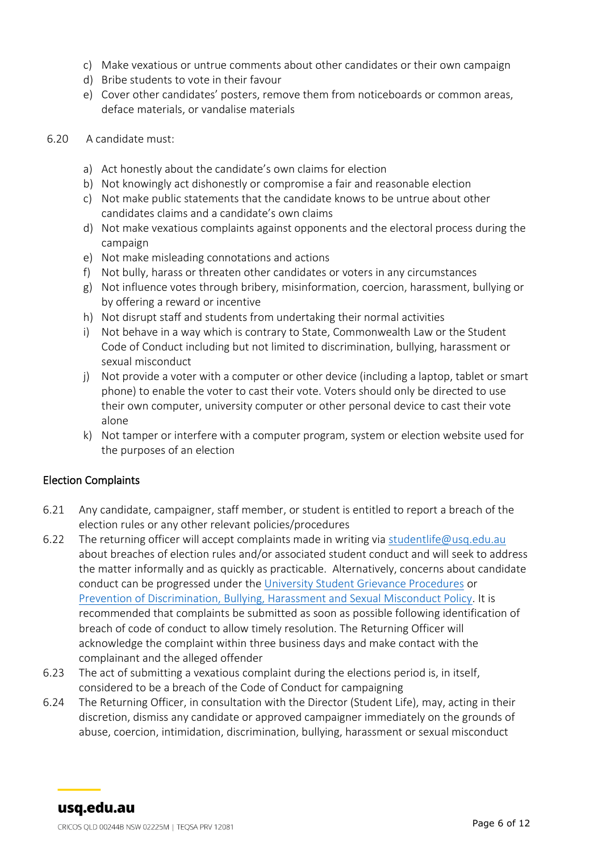- c) Make vexatious or untrue comments about other candidates or their own campaign
- d) Bribe students to vote in their favour
- e) Cover other candidates' posters, remove them from noticeboards or common areas, deface materials, or vandalise materials
- 6.20 A candidate must:
	- a) Act honestly about the candidate's own claims for election
	- b) Not knowingly act dishonestly or compromise a fair and reasonable election
	- c) Not make public statements that the candidate knows to be untrue about other candidates claims and a candidate's own claims
	- d) Not make vexatious complaints against opponents and the electoral process during the campaign
	- e) Not make misleading connotations and actions
	- f) Not bully, harass or threaten other candidates or voters in any circumstances
	- g) Not influence votes through bribery, misinformation, coercion, harassment, bullying or by offering a reward or incentive
	- h) Not disrupt staff and students from undertaking their normal activities
	- i) Not behave in a way which is contrary to State, Commonwealth Law or the Student Code of Conduct including but not limited to discrimination, bullying, harassment or sexual misconduct
	- j) Not provide a voter with a computer or other device (including a laptop, tablet or smart phone) to enable the voter to cast their vote. Voters should only be directed to use their own computer, university computer or other personal device to cast their vote alone
	- k) Not tamper or interfere with a computer program, system or election website used for the purposes of an election

#### Election Complaints

- 6.21 Any candidate, campaigner, staff member, or student is entitled to report a breach of the election rules or any other relevant policies/procedures
- 6.22 The returning officer will accept complaints made in writing via [studentlife@usq.edu.au](mailto:studentlife@usq.edu.au) about breaches of election rules and/or associated student conduct and will seek to address the matter informally and as quickly as practicable. Alternatively, concerns about candidate conduct can be progressed under the [University Student Grievance Procedures](https://policy.usq.edu.au/documents/20530PL) or [Prevention of Discrimination, Bullying, Harassment and Sexual Misconduct Policy.](https://policy.usq.edu.au/documents/21429PL) It is recommended that complaints be submitted as soon as possible following identification of breach of code of conduct to allow timely resolution. The Returning Officer will acknowledge the complaint within three business days and make contact with the complainant and the alleged offender
- 6.23 The act of submitting a vexatious complaint during the elections period is, in itself, considered to be a breach of the Code of Conduct for campaigning
- 6.24 The Returning Officer, in consultation with the Director (Student Life), may, acting in their discretion, dismiss any candidate or approved campaigner immediately on the grounds of abuse, coercion, intimidation, discrimination, bullying, harassment or sexual misconduct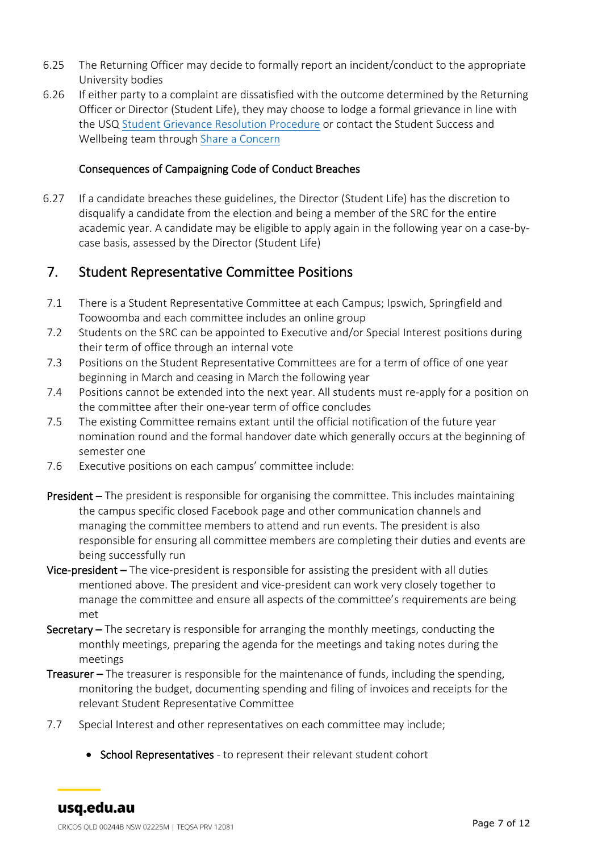- 6.25 The Returning Officer may decide to formally report an incident/conduct to the appropriate University bodies
- 6.26 If either party to a complaint are dissatisfied with the outcome determined by the Returning Officer or Director (Student Life), they may choose to lodge a formal grievance in line with the USQ [Student Grievance Resolution Procedure](https://policy.usq.edu.au/documents/20530PL) or contact the Student Success and Wellbeing team through [Share a Concern](https://usq-advocate.symplicity.com/care_report/index.php/pid005424?)

#### Consequences of Campaigning Code of Conduct Breaches

<span id="page-6-0"></span>6.27 If a candidate breaches these guidelines, the Director (Student Life) has the discretion to disqualify a candidate from the election and being a member of the SRC for the entire academic year. A candidate may be eligible to apply again in the following year on a case-bycase basis, assessed by the Director (Student Life)

#### <span id="page-6-1"></span>7. Student Representative Committee Positions

- 7.1 There is a Student Representative Committee at each Campus; Ipswich, Springfield and Toowoomba and each committee includes an online group
- 7.2 Students on the SRC can be appointed to Executive and/or Special Interest positions during their term of office through an internal vote
- 7.3 Positions on the Student Representative Committees are for a term of office of one year beginning in March and ceasing in March the following year
- 7.4 Positions cannot be extended into the next year. All students must re-apply for a position on the committee after their one-year term of office concludes
- 7.5 The existing Committee remains extant until the official notification of the future year nomination round and the formal handover date which generally occurs at the beginning of semester one
- 7.6 Executive positions on each campus' committee include:
- President The president is responsible for organising the committee. This includes maintaining the campus specific closed Facebook page and other communication channels and managing the committee members to attend and run events. The president is also responsible for ensuring all committee members are completing their duties and events are being successfully run
- Vice-president The vice-president is responsible for assisting the president with all duties mentioned above. The president and vice-president can work very closely together to manage the committee and ensure all aspects of the committee's requirements are being met
- Secretary The secretary is responsible for arranging the monthly meetings, conducting the monthly meetings, preparing the agenda for the meetings and taking notes during the meetings
- Treasurer The treasurer is responsible for the maintenance of funds, including the spending, monitoring the budget, documenting spending and filing of invoices and receipts for the relevant Student Representative Committee
- 7.7 Special Interest and other representatives on each committee may include;
	- School Representatives to represent their relevant student cohort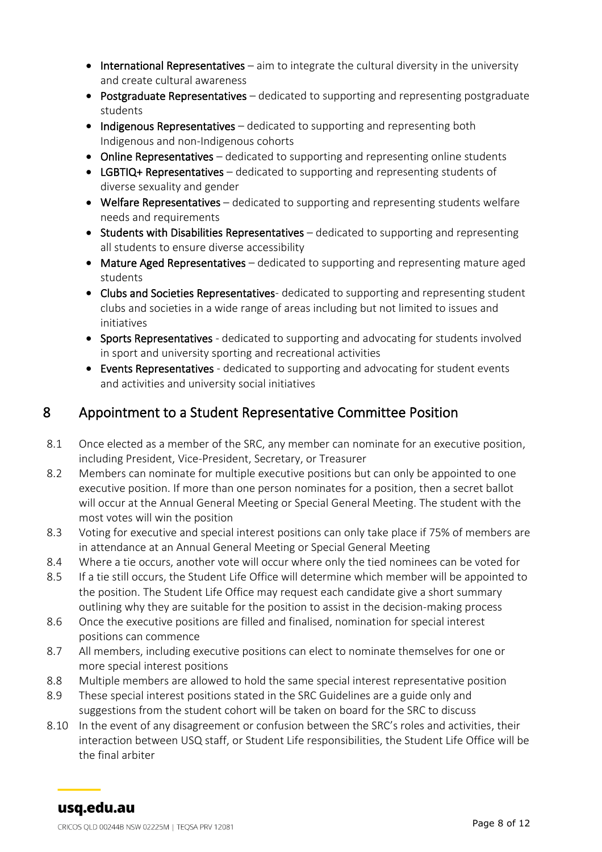- International Representatives aim to integrate the cultural diversity in the university and create cultural awareness
- Postgraduate Representatives dedicated to supporting and representing postgraduate students
- Indigenous Representatives dedicated to supporting and representing both Indigenous and non-Indigenous cohorts
- Online Representatives dedicated to supporting and representing online students
- LGBTIQ+ Representatives dedicated to supporting and representing students of diverse sexuality and gender
- Welfare Representatives dedicated to supporting and representing students welfare needs and requirements
- Students with Disabilities Representatives dedicated to supporting and representing all students to ensure diverse accessibility
- Mature Aged Representatives dedicated to supporting and representing mature aged students
- Clubs and Societies Representatives-dedicated to supporting and representing student clubs and societies in a wide range of areas including but not limited to issues and initiatives
- Sports Representatives dedicated to supporting and advocating for students involved in sport and university sporting and recreational activities
- Events Representatives dedicated to supporting and advocating for student events and activities and university social initiatives

## <span id="page-7-0"></span>8 Appointment to a Student Representative Committee Position

- 8.1 Once elected as a member of the SRC, any member can nominate for an executive position, including President, Vice-President, Secretary, or Treasurer
- 8.2 Members can nominate for multiple executive positions but can only be appointed to one executive position. If more than one person nominates for a position, then a secret ballot will occur at the Annual General Meeting or Special General Meeting. The student with the most votes will win the position
- 8.3 Voting for executive and special interest positions can only take place if 75% of members are in attendance at an Annual General Meeting or Special General Meeting
- 8.4 Where a tie occurs, another vote will occur where only the tied nominees can be voted for
- 8.5 If a tie still occurs, the Student Life Office will determine which member will be appointed to the position. The Student Life Office may request each candidate give a short summary outlining why they are suitable for the position to assist in the decision-making process
- 8.6 Once the executive positions are filled and finalised, nomination for special interest positions can commence
- 8.7 All members, including executive positions can elect to nominate themselves for one or more special interest positions
- 8.8 Multiple members are allowed to hold the same special interest representative position
- 8.9 These special interest positions stated in the SRC Guidelines are a guide only and suggestions from the student cohort will be taken on board for the SRC to discuss
- 8.10 In the event of any disagreement or confusion between the SRC's roles and activities, their interaction between USQ staff, or Student Life responsibilities, the Student Life Office will be the final arbiter

usq.edu.au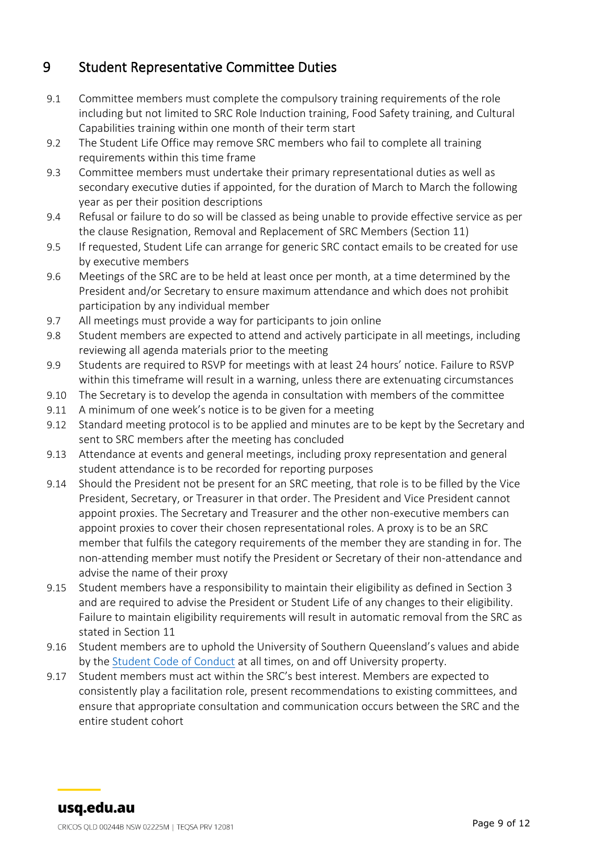# <span id="page-8-0"></span>9 Student Representative Committee Duties

- 9.1 Committee members must complete the compulsory training requirements of the role including but not limited to SRC Role Induction training, Food Safety training, and Cultural Capabilities training within one month of their term start
- 9.2 The Student Life Office may remove SRC members who fail to complete all training requirements within this time frame
- 9.3 Committee members must undertake their primary representational duties as well as secondary executive duties if appointed, for the duration of March to March the following year as per their position descriptions
- 9.4 Refusal or failure to do so will be classed as being unable to provide effective service as per the clause Resignation, Removal and Replacement of SRC Members (Section 11)
- 9.5 If requested, Student Life can arrange for generic SRC contact emails to be created for use by executive members
- 9.6 Meetings of the SRC are to be held at least once per month, at a time determined by the President and/or Secretary to ensure maximum attendance and which does not prohibit participation by any individual member
- 9.7 All meetings must provide a way for participants to join online
- 9.8 Student members are expected to attend and actively participate in all meetings, including reviewing all agenda materials prior to the meeting
- 9.9 Students are required to RSVP for meetings with at least 24 hours' notice. Failure to RSVP within this timeframe will result in a warning, unless there are extenuating circumstances
- 9.10 The Secretary is to develop the agenda in consultation with members of the committee
- 9.11 A minimum of one week's notice is to be given for a meeting
- 9.12 Standard meeting protocol is to be applied and minutes are to be kept by the Secretary and sent to SRC members after the meeting has concluded
- 9.13 Attendance at events and general meetings, including proxy representation and general student attendance is to be recorded for reporting purposes
- 9.14 Should the President not be present for an SRC meeting, that role is to be filled by the Vice President, Secretary, or Treasurer in that order. The President and Vice President cannot appoint proxies. The Secretary and Treasurer and the other non-executive members can appoint proxies to cover their chosen representational roles. A proxy is to be an SRC member that fulfils the category requirements of the member they are standing in for. The non-attending member must notify the President or Secretary of their non-attendance and advise the name of their proxy
- 9.15 Student members have a responsibility to maintain their eligibility as defined in Section 3 and are required to advise the President or Student Life of any changes to their eligibility. Failure to maintain eligibility requirements will result in automatic removal from the SRC as stated in Section 11
- 9.16 Student members are to uphold the University of Southern Queensland's values and abide by the [Student Code of Conduct](https://policy.usq.edu.au/documents/142753PL) at all times, on and off University property.
- 9.17 Student members must act within the SRC's best interest. Members are expected to consistently play a facilitation role, present recommendations to existing committees, and ensure that appropriate consultation and communication occurs between the SRC and the entire student cohort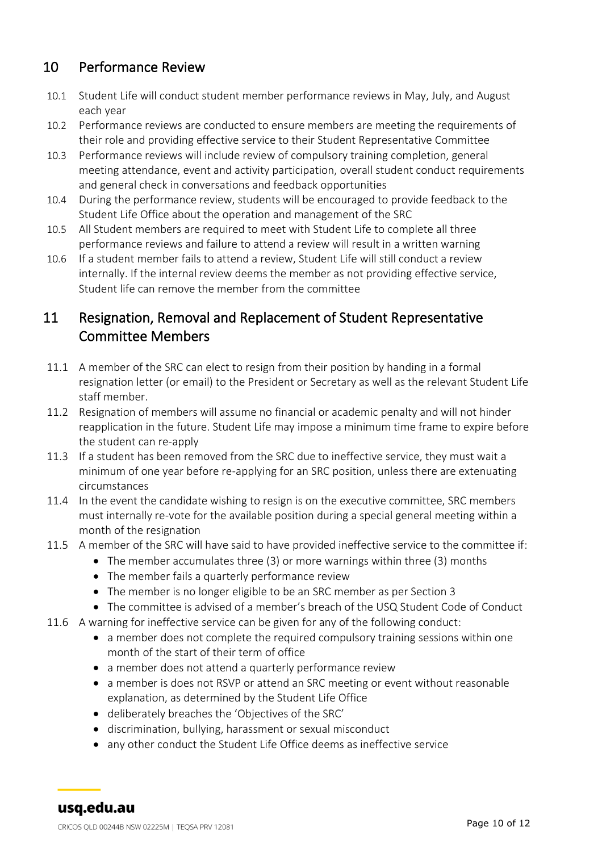# <span id="page-9-0"></span>10 Performance Review

- 10.1 Student Life will conduct student member performance reviews in May, July, and August each year
- 10.2 Performance reviews are conducted to ensure members are meeting the requirements of their role and providing effective service to their Student Representative Committee
- 10.3 Performance reviews will include review of compulsory training completion, general meeting attendance, event and activity participation, overall student conduct requirements and general check in conversations and feedback opportunities
- 10.4 During the performance review, students will be encouraged to provide feedback to the Student Life Office about the operation and management of the SRC
- 10.5 All Student members are required to meet with Student Life to complete all three performance reviews and failure to attend a review will result in a written warning
- 10.6 If a student member fails to attend a review, Student Life will still conduct a review internally. If the internal review deems the member as not providing effective service, Student life can remove the member from the committee

#### <span id="page-9-1"></span>11 Resignation, Removal and Replacement of Student Representative Committee Members

- 11.1 A member of the SRC can elect to resign from their position by handing in a formal resignation letter (or email) to the President or Secretary as well as the relevant Student Life staff member.
- 11.2 Resignation of members will assume no financial or academic penalty and will not hinder reapplication in the future. Student Life may impose a minimum time frame to expire before the student can re-apply
- 11.3 If a student has been removed from the SRC due to ineffective service, they must wait a minimum of one year before re-applying for an SRC position, unless there are extenuating circumstances
- 11.4 In the event the candidate wishing to resign is on the executive committee, SRC members must internally re-vote for the available position during a special general meeting within a month of the resignation
- 11.5 A member of the SRC will have said to have provided ineffective service to the committee if:
	- The member accumulates three (3) or more warnings within three (3) months
	- The member fails a quarterly performance review
	- The member is no longer eligible to be an SRC member as per Section 3
	- The committee is advised of a member's breach of the USQ Student Code of Conduct
- 11.6 A warning for ineffective service can be given for any of the following conduct:
	- a member does not complete the required compulsory training sessions within one month of the start of their term of office
	- a member does not attend a quarterly performance review
	- a member is does not RSVP or attend an SRC meeting or event without reasonable explanation, as determined by the Student Life Office
	- deliberately breaches the 'Objectives of the SRC'
	- discrimination, bullying, harassment or sexual misconduct
	- any other conduct the Student Life Office deems as ineffective service

usq.edu.au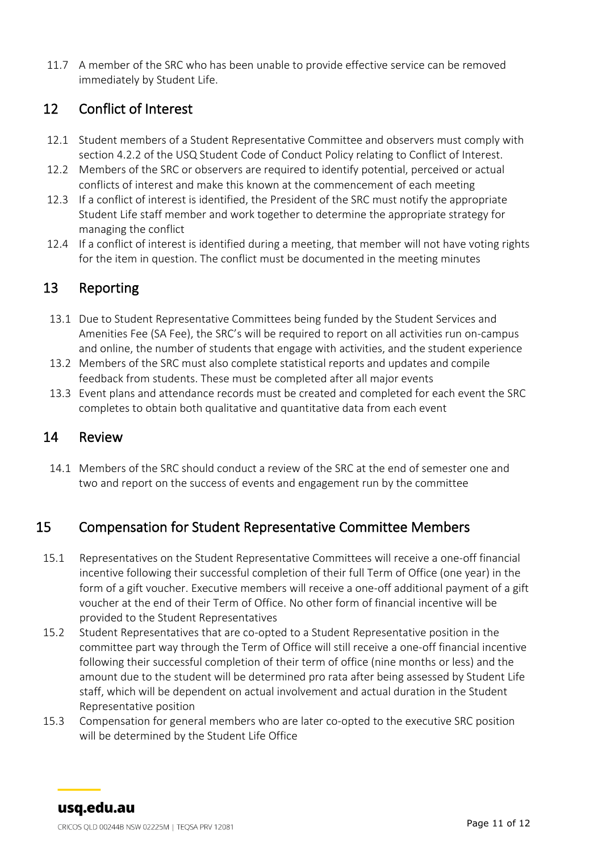11.7 A member of the SRC who has been unable to provide effective service can be removed immediately by Student Life.

#### <span id="page-10-0"></span>12 Conflict of Interest

- 12.1 Student members of a Student Representative Committee and observers must comply with section 4.2.2 of the USQ Student Code of Conduct Policy relating to Conflict of Interest.
- 12.2 Members of the SRC or observers are required to identify potential, perceived or actual conflicts of interest and make this known at the commencement of each meeting
- 12.3 If a conflict of interest is identified, the President of the SRC must notify the appropriate Student Life staff member and work together to determine the appropriate strategy for managing the conflict
- 12.4 If a conflict of interest is identified during a meeting, that member will not have voting rights for the item in question. The conflict must be documented in the meeting minutes

#### <span id="page-10-1"></span>13 Reporting

- 13.1 Due to Student Representative Committees being funded by the Student Services and Amenities Fee (SA Fee), the SRC's will be required to report on all activities run on-campus and online, the number of students that engage with activities, and the student experience
- 13.2 Members of the SRC must also complete statistical reports and updates and compile feedback from students. These must be completed after all major events
- 13.3 Event plans and attendance records must be created and completed for each event the SRC completes to obtain both qualitative and quantitative data from each event

#### <span id="page-10-2"></span>14 Review

14.1 Members of the SRC should conduct a review of the SRC at the end of semester one and two and report on the success of events and engagement run by the committee

#### <span id="page-10-3"></span>15 Compensation for Student Representative Committee Members

- 15.1 Representatives on the Student Representative Committees will receive a one-off financial incentive following their successful completion of their full Term of Office (one year) in the form of a gift voucher. Executive members will receive a one-off additional payment of a gift voucher at the end of their Term of Office. No other form of financial incentive will be provided to the Student Representatives
- 15.2 Student Representatives that are co-opted to a Student Representative position in the committee part way through the Term of Office will still receive a one-off financial incentive following their successful completion of their term of office (nine months or less) and the amount due to the student will be determined pro rata after being assessed by Student Life staff, which will be dependent on actual involvement and actual duration in the Student Representative position
- 15.3 Compensation for general members who are later co-opted to the executive SRC position will be determined by the Student Life Office